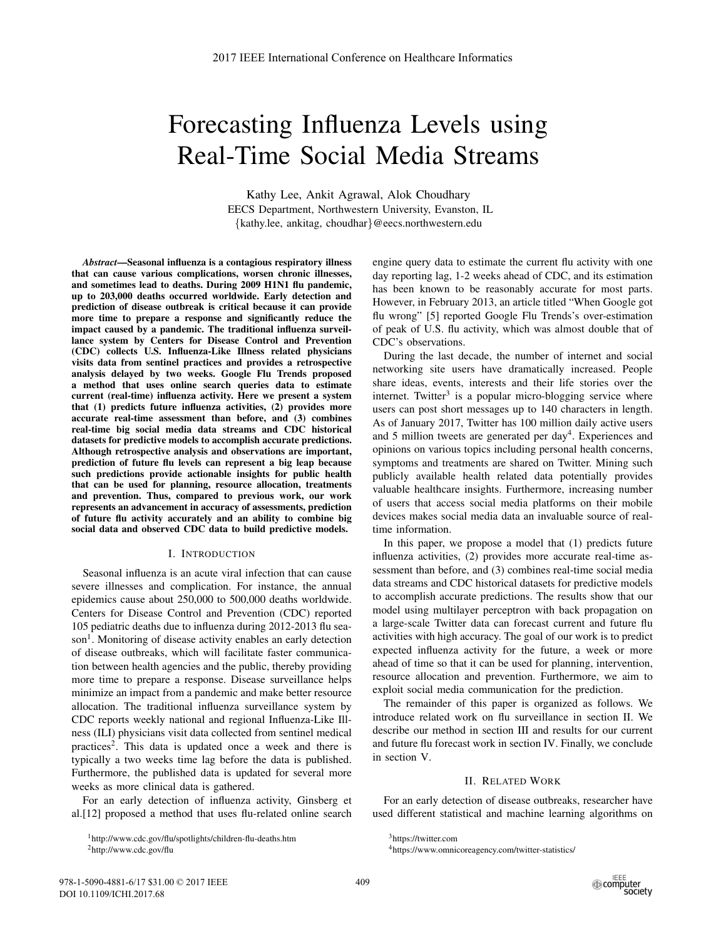# Forecasting Influenza Levels using Real-Time Social Media Streams

Kathy Lee, Ankit Agrawal, Alok Choudhary EECS Department, Northwestern University, Evanston, IL {kathy.lee, ankitag, choudhar}@eecs.northwestern.edu

*Abstract*—Seasonal influenza is a contagious respiratory illness that can cause various complications, worsen chronic illnesses, and sometimes lead to deaths. During 2009 H1N1 flu pandemic, up to 203,000 deaths occurred worldwide. Early detection and prediction of disease outbreak is critical because it can provide more time to prepare a response and significantly reduce the impact caused by a pandemic. The traditional influenza surveillance system by Centers for Disease Control and Prevention (CDC) collects U.S. Influenza-Like Illness related physicians visits data from sentinel practices and provides a retrospective analysis delayed by two weeks. Google Flu Trends proposed a method that uses online search queries data to estimate current (real-time) influenza activity. Here we present a system that (1) predicts future influenza activities, (2) provides more accurate real-time assessment than before, and (3) combines real-time big social media data streams and CDC historical datasets for predictive models to accomplish accurate predictions. Although retrospective analysis and observations are important, prediction of future flu levels can represent a big leap because such predictions provide actionable insights for public health that can be used for planning, resource allocation, treatments and prevention. Thus, compared to previous work, our work represents an advancement in accuracy of assessments, prediction of future flu activity accurately and an ability to combine big social data and observed CDC data to build predictive models.

### I. INTRODUCTION

Seasonal influenza is an acute viral infection that can cause severe illnesses and complication. For instance, the annual epidemics cause about 250,000 to 500,000 deaths worldwide. Centers for Disease Control and Prevention (CDC) reported 105 pediatric deaths due to influenza during 2012-2013 flu season<sup>1</sup>. Monitoring of disease activity enables an early detection of disease outbreaks, which will facilitate faster communication between health agencies and the public, thereby providing more time to prepare a response. Disease surveillance helps minimize an impact from a pandemic and make better resource allocation. The traditional influenza surveillance system by CDC reports weekly national and regional Influenza-Like Illness (ILI) physicians visit data collected from sentinel medical practices<sup>2</sup>. This data is updated once a week and there is typically a two weeks time lag before the data is published. Furthermore, the published data is updated for several more weeks as more clinical data is gathered.

For an early detection of influenza activity, Ginsberg et al.[12] proposed a method that uses flu-related online search engine query data to estimate the current flu activity with one day reporting lag, 1-2 weeks ahead of CDC, and its estimation has been known to be reasonably accurate for most parts. However, in February 2013, an article titled "When Google got flu wrong" [5] reported Google Flu Trends's over-estimation of peak of U.S. flu activity, which was almost double that of CDC's observations.

During the last decade, the number of internet and social networking site users have dramatically increased. People share ideas, events, interests and their life stories over the internet. Twitter<sup>3</sup> is a popular micro-blogging service where users can post short messages up to 140 characters in length. As of January 2017, Twitter has 100 million daily active users and 5 million tweets are generated per day<sup>4</sup>. Experiences and opinions on various topics including personal health concerns, symptoms and treatments are shared on Twitter. Mining such publicly available health related data potentially provides valuable healthcare insights. Furthermore, increasing number of users that access social media platforms on their mobile devices makes social media data an invaluable source of realtime information.

In this paper, we propose a model that (1) predicts future influenza activities, (2) provides more accurate real-time assessment than before, and (3) combines real-time social media data streams and CDC historical datasets for predictive models to accomplish accurate predictions. The results show that our model using multilayer perceptron with back propagation on a large-scale Twitter data can forecast current and future flu activities with high accuracy. The goal of our work is to predict expected influenza activity for the future, a week or more ahead of time so that it can be used for planning, intervention, resource allocation and prevention. Furthermore, we aim to exploit social media communication for the prediction.

The remainder of this paper is organized as follows. We introduce related work on flu surveillance in section II. We describe our method in section III and results for our current and future flu forecast work in section IV. Finally, we conclude in section V.

## II. RELATED WORK

For an early detection of disease outbreaks, researcher have used different statistical and machine learning algorithms on

<sup>1</sup>http://www.cdc.gov/flu/spotlights/children-flu-deaths.htm 2http://www.cdc.gov/flu

<sup>3</sup>https://twitter.com

<sup>4</sup>https://www.omnicoreagency.com/twitter-statistics/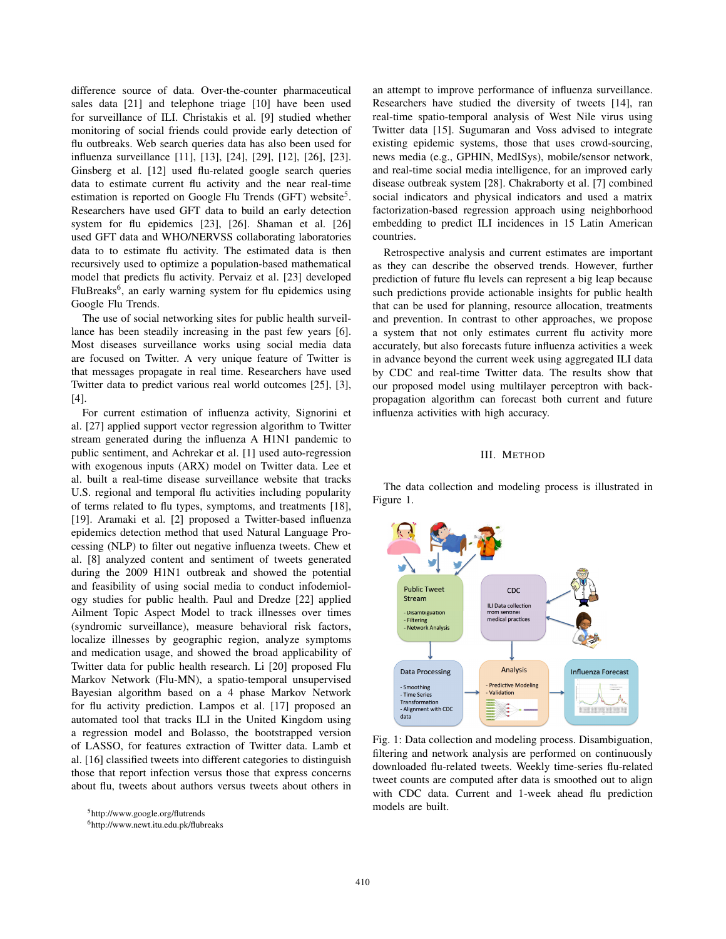difference source of data. Over-the-counter pharmaceutical sales data [21] and telephone triage [10] have been used for surveillance of ILI. Christakis et al. [9] studied whether monitoring of social friends could provide early detection of flu outbreaks. Web search queries data has also been used for influenza surveillance [11], [13], [24], [29], [12], [26], [23]. Ginsberg et al. [12] used flu-related google search queries data to estimate current flu activity and the near real-time estimation is reported on Google Flu Trends (GFT) website<sup>5</sup>. Researchers have used GFT data to build an early detection system for flu epidemics [23], [26]. Shaman et al. [26] used GFT data and WHO/NERVSS collaborating laboratories data to to estimate flu activity. The estimated data is then recursively used to optimize a population-based mathematical model that predicts flu activity. Pervaiz et al. [23] developed FluBreaks<sup>6</sup>, an early warning system for flu epidemics using Google Flu Trends.

The use of social networking sites for public health surveillance has been steadily increasing in the past few years [6]. Most diseases surveillance works using social media data are focused on Twitter. A very unique feature of Twitter is that messages propagate in real time. Researchers have used Twitter data to predict various real world outcomes [25], [3], [4].

For current estimation of influenza activity, Signorini et al. [27] applied support vector regression algorithm to Twitter stream generated during the influenza A H1N1 pandemic to public sentiment, and Achrekar et al. [1] used auto-regression with exogenous inputs (ARX) model on Twitter data. Lee et al. built a real-time disease surveillance website that tracks U.S. regional and temporal flu activities including popularity of terms related to flu types, symptoms, and treatments [18], [19]. Aramaki et al. [2] proposed a Twitter-based influenza epidemics detection method that used Natural Language Processing (NLP) to filter out negative influenza tweets. Chew et al. [8] analyzed content and sentiment of tweets generated during the 2009 H1N1 outbreak and showed the potential and feasibility of using social media to conduct infodemiology studies for public health. Paul and Dredze [22] applied Ailment Topic Aspect Model to track illnesses over times (syndromic surveillance), measure behavioral risk factors, localize illnesses by geographic region, analyze symptoms and medication usage, and showed the broad applicability of Twitter data for public health research. Li [20] proposed Flu Markov Network (Flu-MN), a spatio-temporal unsupervised Bayesian algorithm based on a 4 phase Markov Network for flu activity prediction. Lampos et al. [17] proposed an automated tool that tracks ILI in the United Kingdom using a regression model and Bolasso, the bootstrapped version of LASSO, for features extraction of Twitter data. Lamb et al. [16] classified tweets into different categories to distinguish those that report infection versus those that express concerns about flu, tweets about authors versus tweets about others in

5http://www.google.org/flutrends

6http://www.newt.itu.edu.pk/flubreaks

an attempt to improve performance of influenza surveillance. Researchers have studied the diversity of tweets [14], ran real-time spatio-temporal analysis of West Nile virus using Twitter data [15]. Sugumaran and Voss advised to integrate existing epidemic systems, those that uses crowd-sourcing, news media (e.g., GPHIN, MedISys), mobile/sensor network, and real-time social media intelligence, for an improved early disease outbreak system [28]. Chakraborty et al. [7] combined social indicators and physical indicators and used a matrix factorization-based regression approach using neighborhood embedding to predict ILI incidences in 15 Latin American countries.

Retrospective analysis and current estimates are important as they can describe the observed trends. However, further prediction of future flu levels can represent a big leap because such predictions provide actionable insights for public health that can be used for planning, resource allocation, treatments and prevention. In contrast to other approaches, we propose a system that not only estimates current flu activity more accurately, but also forecasts future influenza activities a week in advance beyond the current week using aggregated ILI data by CDC and real-time Twitter data. The results show that our proposed model using multilayer perceptron with backpropagation algorithm can forecast both current and future influenza activities with high accuracy.

#### III. METHOD

The data collection and modeling process is illustrated in Figure 1.



Fig. 1: Data collection and modeling process. Disambiguation, filtering and network analysis are performed on continuously downloaded flu-related tweets. Weekly time-series flu-related tweet counts are computed after data is smoothed out to align with CDC data. Current and 1-week ahead flu prediction models are built.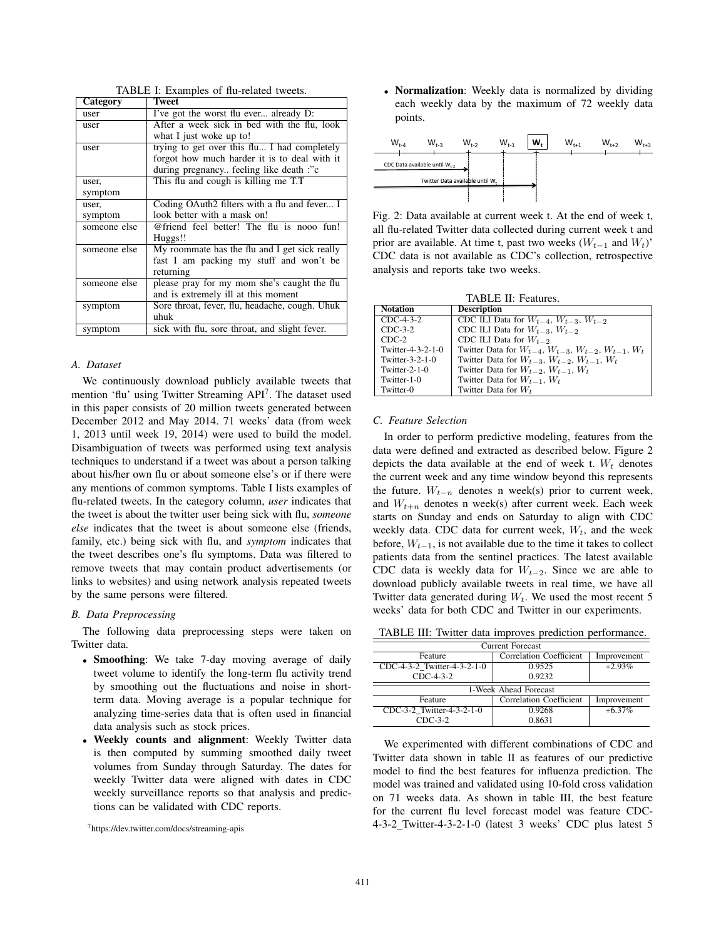| TABLE I: Examples of flu-related tweets. |
|------------------------------------------|
|------------------------------------------|

| Category     | Tweet                                          |
|--------------|------------------------------------------------|
| user         | I've got the worst flu ever already D:         |
| user         | After a week sick in bed with the flu, look    |
|              | what I just woke up to!                        |
| user         | trying to get over this flu I had completely   |
|              | forgot how much harder it is to deal with it   |
|              | during pregnancy feeling like death :"c        |
| user,        | This flu and cough is killing me T.T           |
| symptom      |                                                |
| user,        | Coding OAuth2 filters with a flu and fever I   |
| symptom      | look better with a mask on!                    |
| someone else | @friend feel better! The flu is nooo fun!      |
|              | Huggs!!                                        |
| someone else | My roommate has the flu and I get sick really  |
|              | fast I am packing my stuff and won't be        |
|              | returning                                      |
| someone else | please pray for my mom she's caught the flu    |
|              | and is extremely ill at this moment            |
| symptom      | Sore throat, fever, flu, headache, cough. Uhuk |
|              | uhuk                                           |
| symptom      | sick with flu, sore throat, and slight fever.  |

# *A. Dataset*

We continuously download publicly available tweets that mention 'flu' using Twitter Streaming API<sup>7</sup>. The dataset used in this paper consists of 20 million tweets generated between December 2012 and May 2014. 71 weeks' data (from week 1, 2013 until week 19, 2014) were used to build the model. Disambiguation of tweets was performed using text analysis techniques to understand if a tweet was about a person talking about his/her own flu or about someone else's or if there were any mentions of common symptoms. Table I lists examples of flu-related tweets. In the category column, *user* indicates that the tweet is about the twitter user being sick with flu, *someone else* indicates that the tweet is about someone else (friends, family, etc.) being sick with flu, and *symptom* indicates that the tweet describes one's flu symptoms. Data was filtered to remove tweets that may contain product advertisements (or links to websites) and using network analysis repeated tweets by the same persons were filtered.

#### *B. Data Preprocessing*

The following data preprocessing steps were taken on Twitter data.

- Smoothing: We take 7-day moving average of daily tweet volume to identify the long-term flu activity trend by smoothing out the fluctuations and noise in shortterm data. Moving average is a popular technique for analyzing time-series data that is often used in financial data analysis such as stock prices.
- Weekly counts and alignment: Weekly Twitter data is then computed by summing smoothed daily tweet volumes from Sunday through Saturday. The dates for weekly Twitter data were aligned with dates in CDC weekly surveillance reports so that analysis and predictions can be validated with CDC reports.

• Normalization: Weekly data is normalized by dividing each weekly data by the maximum of 72 weekly data points.



Fig. 2: Data available at current week t. At the end of week t, all flu-related Twitter data collected during current week t and prior are available. At time t, past two weeks  $(W_{t-1}$  and  $W_t$ )' CDC data is not available as CDC's collection, retrospective analysis and reports take two weeks.

| <b>TABLE II: Features.</b> |                                                                        |  |  |  |  |  |
|----------------------------|------------------------------------------------------------------------|--|--|--|--|--|
| <b>Notation</b>            | <b>Description</b>                                                     |  |  |  |  |  |
| $CDC-4-3-2$                | CDC ILI Data for $W_{t-4}$ , $W_{t-3}$ , $W_{t-2}$                     |  |  |  |  |  |
| $CDC-3-2$                  | CDC ILI Data for $W_{t-3}$ , $W_{t-2}$                                 |  |  |  |  |  |
| CDC-2                      | CDC ILI Data for $W_{t-2}$                                             |  |  |  |  |  |
| Twitter-4-3-2-1-0          | Twitter Data for $W_{t-4}$ , $W_{t-3}$ , $W_{t-2}$ , $W_{t-1}$ , $W_t$ |  |  |  |  |  |
| Twitter-3-2-1-0            | Twitter Data for $W_{t-3}$ , $W_{t-2}$ , $W_{t-1}$ , $W_t$             |  |  |  |  |  |
| Twitter-2-1-0              | Twitter Data for $W_{t-2}$ , $W_{t-1}$ , $W_t$                         |  |  |  |  |  |
| Twitter-1-0                | Twitter Data for $W_{t-1}$ , $W_t$                                     |  |  |  |  |  |
| Twitter-0                  | Twitter Data for $W_t$                                                 |  |  |  |  |  |

#### *C. Feature Selection*

In order to perform predictive modeling, features from the data were defined and extracted as described below. Figure 2 depicts the data available at the end of week t.  $W_t$  denotes the current week and any time window beyond this represents the future.  $W_{t-n}$  denotes n week(s) prior to current week, and  $W_{t+n}$  denotes n week(s) after current week. Each week starts on Sunday and ends on Saturday to align with CDC weekly data. CDC data for current week,  $W_t$ , and the week before,  $W_{t-1}$ , is not available due to the time it takes to collect patients data from the sentinel practices. The latest available CDC data is weekly data for  $W_{t-2}$ . Since we are able to download publicly available tweets in real time, we have all Twitter data generated during  $W_t$ . We used the most recent 5 weeks' data for both CDC and Twitter in our experiments.

TABLE III: Twitter data improves prediction performance.

| <b>Current Forecast</b>     |                         |             |  |  |  |  |  |
|-----------------------------|-------------------------|-------------|--|--|--|--|--|
| Feature                     | Correlation Coefficient | Improvement |  |  |  |  |  |
| CDC-4-3-2 Twitter-4-3-2-1-0 | 0.9525                  | $+2.93%$    |  |  |  |  |  |
| $CDC-4-3-2$                 | 0.9232                  |             |  |  |  |  |  |
|                             |                         |             |  |  |  |  |  |
|                             |                         |             |  |  |  |  |  |
|                             | 1-Week Ahead Forecast   |             |  |  |  |  |  |
| Feature                     | Correlation Coefficient | Improvement |  |  |  |  |  |
| CDC-3-2 Twitter-4-3-2-1-0   | 0.9268                  | $+6.37\%$   |  |  |  |  |  |

We experimented with different combinations of CDC and Twitter data shown in table II as features of our predictive model to find the best features for influenza prediction. The model was trained and validated using 10-fold cross validation on 71 weeks data. As shown in table III, the best feature for the current flu level forecast model was feature CDC-4-3-2 Twitter-4-3-2-1-0 (latest 3 weeks' CDC plus latest 5

<sup>7</sup>https://dev.twitter.com/docs/streaming-apis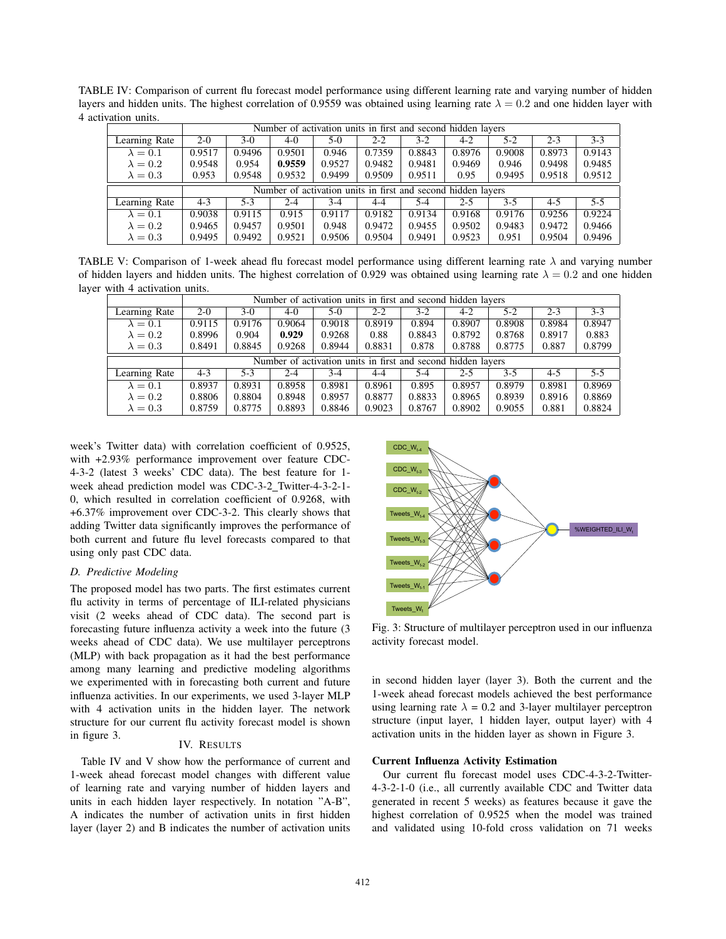TABLE IV: Comparison of current flu forecast model performance using different learning rate and varying number of hidden layers and hidden units. The highest correlation of 0.9559 was obtained using learning rate  $\lambda = 0.2$  and one hidden layer with 4 activation units.

|                                                              | Number of activation units in first and second hidden lavers |        |         |        |         |        |         |         |         |         |  |
|--------------------------------------------------------------|--------------------------------------------------------------|--------|---------|--------|---------|--------|---------|---------|---------|---------|--|
| Learning Rate                                                | $2 - 0$                                                      | $3-0$  | 4-0     | 5-0    | $2 - 2$ | $3-2$  | $4 - 2$ | $5 - 2$ | $2 - 3$ | $3 - 3$ |  |
| $\lambda = 0.1$                                              | 0.9517                                                       | 0.9496 | 0.9501  | 0.946  | 0.7359  | 0.8843 | 0.8976  | 0.9008  | 0.8973  | 0.9143  |  |
| $\lambda = 0.2$                                              | 0.9548                                                       | 0.954  | 0.9559  | 0.9527 | 0.9482  | 0.9481 | 0.9469  | 0.946   | 0.9498  | 0.9485  |  |
| $\lambda = 0.3$                                              | 0.953                                                        | 0.9548 | 0.9532  | 0.9499 | 0.9509  | 0.9511 | 0.95    | 0.9495  | 0.9518  | 0.9512  |  |
| Number of activation units in first and second hidden layers |                                                              |        |         |        |         |        |         |         |         |         |  |
|                                                              |                                                              |        |         |        |         |        |         |         |         |         |  |
| Learning Rate                                                | $4 - 3$                                                      | $5-3$  | $2 - 4$ | $3-4$  | 4-4     | $5-4$  | $2 - 5$ | $3 - 5$ | $4 - 5$ | $5 - 5$ |  |
| $\lambda = 0.1$                                              | 0.9038                                                       | 0.9115 | 0.915   | 0.9117 | 0.9182  | 0.9134 | 0.9168  | 0.9176  | 0.9256  | 0.9224  |  |
| $\lambda = 0.2$                                              | 0.9465                                                       | 0.9457 | 0.9501  | 0.948  | 0.9472  | 0.9455 | 0.9502  | 0.9483  | 0.9472  | 0.9466  |  |

TABLE V: Comparison of 1-week ahead flu forecast model performance using different learning rate  $\lambda$  and varying number of hidden layers and hidden units. The highest correlation of 0.929 was obtained using learning rate  $\lambda = 0.2$  and one hidden layer with 4 activation units.

|                 | Number of activation units in first and second hidden layers |        |         |        |         |        |         |        |         |         |  |
|-----------------|--------------------------------------------------------------|--------|---------|--------|---------|--------|---------|--------|---------|---------|--|
| Learning Rate   | $2 - 0$                                                      | 3-0    | 4-0     | $5-0$  | $2 - 2$ | $3-2$  | $4 - 2$ | $5-2$  | $2 - 3$ | $3 - 3$ |  |
| $\lambda = 0.1$ | 0.9115                                                       | 0.9176 | 0.9064  | 0.9018 | 0.8919  | 0.894  | 0.8907  | 0.8908 | 0.8984  | 0.8947  |  |
| $\lambda = 0.2$ | 0.8996                                                       | 0.904  | 0.929   | 0.9268 | 0.88    | 0.8843 | 0.8792  | 0.8768 | 0.8917  | 0.883   |  |
| $\lambda = 0.3$ | 0.8491                                                       | 0.8845 | 0.9268  | 0.8944 | 0.8831  | 0.878  | 0.8788  | 0.8775 | 0.887   | 0.8799  |  |
|                 | Number of activation units in first and second hidden layers |        |         |        |         |        |         |        |         |         |  |
| Learning Rate   | $4 - 3$                                                      | $5-3$  | $2 - 4$ | $3-4$  | 4-4     | $5-4$  | $2 - 5$ | $3-5$  | $4 - 5$ | $5 - 5$ |  |
| $\lambda = 0.1$ | 0.8937                                                       | 0.8931 | 0.8958  | 0.8981 | 0.8961  | 0.895  | 0.8957  | 0.8979 | 0.8981  | 0.8969  |  |
| $\lambda = 0.2$ | 0.8806                                                       | 0.8804 | 0.8948  | 0.8957 | 0.8877  | 0.8833 | 0.8965  | 0.8939 | 0.8916  | 0.8869  |  |
| $\lambda = 0.3$ | 0.8759                                                       | 0.8775 | 0.8893  | 0.8846 | 0.9023  | 0.8767 | 0.8902  | 0.9055 | 0.881   | 0.8824  |  |

week's Twitter data) with correlation coefficient of 0.9525, with +2.93% performance improvement over feature CDC-4-3-2 (latest 3 weeks' CDC data). The best feature for 1 week ahead prediction model was CDC-3-2 Twitter-4-3-2-1- 0, which resulted in correlation coefficient of 0.9268, with +6.37% improvement over CDC-3-2. This clearly shows that adding Twitter data significantly improves the performance of both current and future flu level forecasts compared to that using only past CDC data.

# *D. Predictive Modeling*

The proposed model has two parts. The first estimates current flu activity in terms of percentage of ILI-related physicians visit (2 weeks ahead of CDC data). The second part is forecasting future influenza activity a week into the future (3 weeks ahead of CDC data). We use multilayer perceptrons (MLP) with back propagation as it had the best performance among many learning and predictive modeling algorithms we experimented with in forecasting both current and future influenza activities. In our experiments, we used 3-layer MLP with 4 activation units in the hidden layer. The network structure for our current flu activity forecast model is shown in figure 3. IV. RESULTS

Table IV and V show how the performance of current and 1-week ahead forecast model changes with different value of learning rate and varying number of hidden layers and units in each hidden layer respectively. In notation "A-B", A indicates the number of activation units in first hidden layer (layer 2) and B indicates the number of activation units



Fig. 3: Structure of multilayer perceptron used in our influenza activity forecast model.

in second hidden layer (layer 3). Both the current and the 1-week ahead forecast models achieved the best performance using learning rate  $\lambda = 0.2$  and 3-layer multilayer perceptron structure (input layer, 1 hidden layer, output layer) with 4 activation units in the hidden layer as shown in Figure 3.

# Current Influenza Activity Estimation

Our current flu forecast model uses CDC-4-3-2-Twitter-4-3-2-1-0 (i.e., all currently available CDC and Twitter data generated in recent 5 weeks) as features because it gave the highest correlation of 0.9525 when the model was trained and validated using 10-fold cross validation on 71 weeks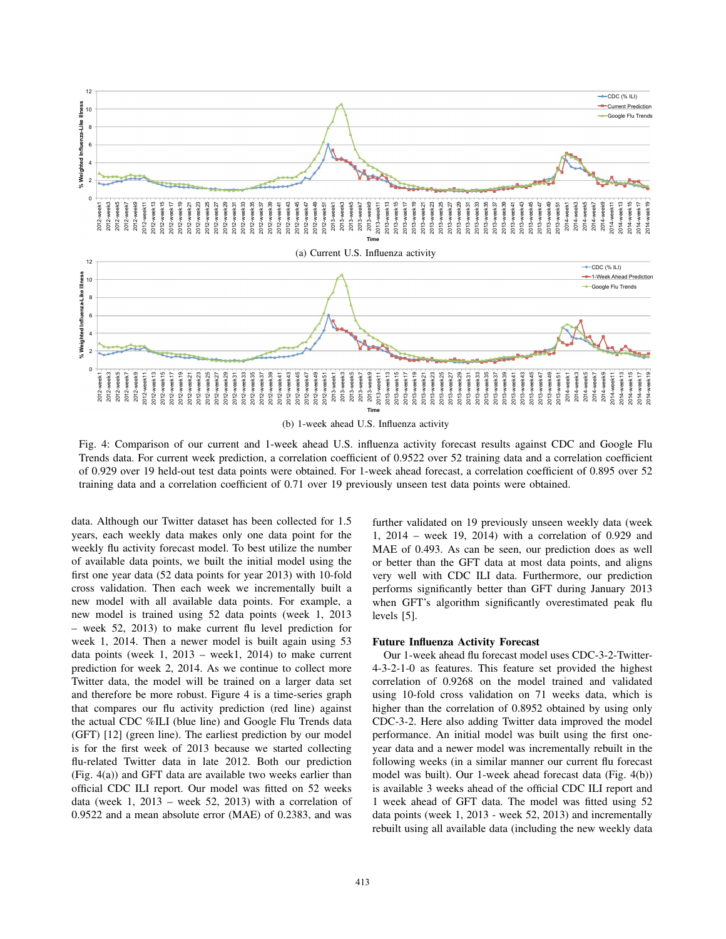

(b) 1-week ahead U.S. Influenza activity

Fig. 4: Comparison of our current and 1-week ahead U.S. influenza activity forecast results against CDC and Google Flu Trends data. For current week prediction, a correlation coefficient of 0.9522 over 52 training data and a correlation coefficient of 0.929 over 19 held-out test data points were obtained. For 1-week ahead forecast, a correlation coefficient of 0.895 over 52 training data and a correlation coefficient of 0.71 over 19 previously unseen test data points were obtained.

data. Although our Twitter dataset has been collected for 1.5 years, each weekly data makes only one data point for the weekly flu activity forecast model. To best utilize the number of available data points, we built the initial model using the first one year data (52 data points for year 2013) with 10-fold cross validation. Then each week we incrementally built a new model with all available data points. For example, a new model is trained using 52 data points (week 1, 2013 – week 52, 2013) to make current flu level prediction for week 1, 2014. Then a newer model is built again using 53 data points (week 1, 2013 – week1, 2014) to make current prediction for week 2, 2014. As we continue to collect more Twitter data, the model will be trained on a larger data set and therefore be more robust. Figure 4 is a time-series graph that compares our flu activity prediction (red line) against the actual CDC %ILI (blue line) and Google Flu Trends data (GFT) [12] (green line). The earliest prediction by our model is for the first week of 2013 because we started collecting flu-related Twitter data in late 2012. Both our prediction (Fig. 4(a)) and GFT data are available two weeks earlier than official CDC ILI report. Our model was fitted on 52 weeks data (week 1, 2013 – week 52, 2013) with a correlation of 0.9522 and a mean absolute error (MAE) of 0.2383, and was further validated on 19 previously unseen weekly data (week 1, 2014 – week 19, 2014) with a correlation of 0.929 and MAE of 0.493. As can be seen, our prediction does as well or better than the GFT data at most data points, and aligns very well with CDC ILI data. Furthermore, our prediction performs significantly better than GFT during January 2013 when GFT's algorithm significantly overestimated peak flu levels [5].

### Future Influenza Activity Forecast

Our 1-week ahead flu forecast model uses CDC-3-2-Twitter-4-3-2-1-0 as features. This feature set provided the highest correlation of 0.9268 on the model trained and validated using 10-fold cross validation on 71 weeks data, which is higher than the correlation of 0.8952 obtained by using only CDC-3-2. Here also adding Twitter data improved the model performance. An initial model was built using the first oneyear data and a newer model was incrementally rebuilt in the following weeks (in a similar manner our current flu forecast model was built). Our 1-week ahead forecast data (Fig. 4(b)) is available 3 weeks ahead of the official CDC ILI report and 1 week ahead of GFT data. The model was fitted using 52 data points (week 1, 2013 - week 52, 2013) and incrementally rebuilt using all available data (including the new weekly data